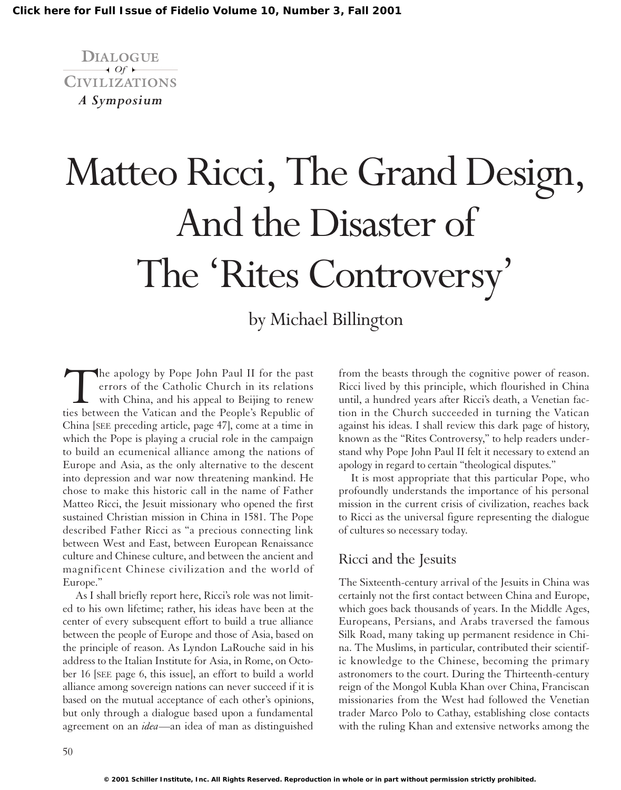

# Matteo Ricci, The Grand Design, And the Disaster of The 'Rites Controversy'

## by Michael Billington

The apology by Pope John Paul II for the past errors of the Catholic Church in its relations with China, and his appeal to Beijing to renew ties between the Vatican and the People's Republic of China [SEE preceding article, page 47], come at a time in which the Pope is playing a crucial role in the campaign to build an ecumenical alliance among the nations of Europe and Asia, as the only alternative to the descent into depression and war now threatening mankind. He chose to make this historic call in the name of Father Matteo Ricci, the Jesuit missionary who opened the first sustained Christian mission in China in 1581. The Pope described Father Ricci as "a precious connecting link between West and East, between European Renaissance culture and Chinese culture, and between the ancient and magnificent Chinese civilization and the world of Europe."

As I shall briefly report here, Ricci's role was not limited to his own lifetime; rather, his ideas have been at the center of every subsequent effort to build a true alliance between the people of Europe and those of Asia, based on the principle of reason. As Lyndon LaRouche said in his address to the Italian Institute for Asia, in Rome, on October 16 [SEE page 6, this issue], an effort to build a world alliance among sovereign nations can never succeed if it is based on the mutual acceptance of each other's opinions, but only through a dialogue based upon a fundamental agreement on an *idea*—an idea of man as distinguished

from the beasts through the cognitive power of reason. Ricci lived by this principle, which flourished in China until, a hundred years after Ricci's death, a Venetian faction in the Church succeeded in turning the Vatican against his ideas. I shall review this dark page of history, known as the "Rites Controversy," to help readers understand why Pope John Paul II felt it necessary to extend an apology in regard to certain "theological disputes."

It is most appropriate that this particular Pope, who profoundly understands the importance of his personal mission in the current crisis of civilization, reaches back to Ricci as the universal figure representing the dialogue of cultures so necessary today.

#### Ricci and the Jesuits

The Sixteenth-century arrival of the Jesuits in China was certainly not the first contact between China and Europe, which goes back thousands of years. In the Middle Ages, Europeans, Persians, and Arabs traversed the famous Silk Road, many taking up permanent residence in China. The Muslims, in particular, contributed their scientific knowledge to the Chinese, becoming the primary astronomers to the court. During the Thirteenth-century reign of the Mongol Kubla Khan over China, Franciscan missionaries from the West had followed the Venetian trader Marco Polo to Cathay, establishing close contacts with the ruling Khan and extensive networks among the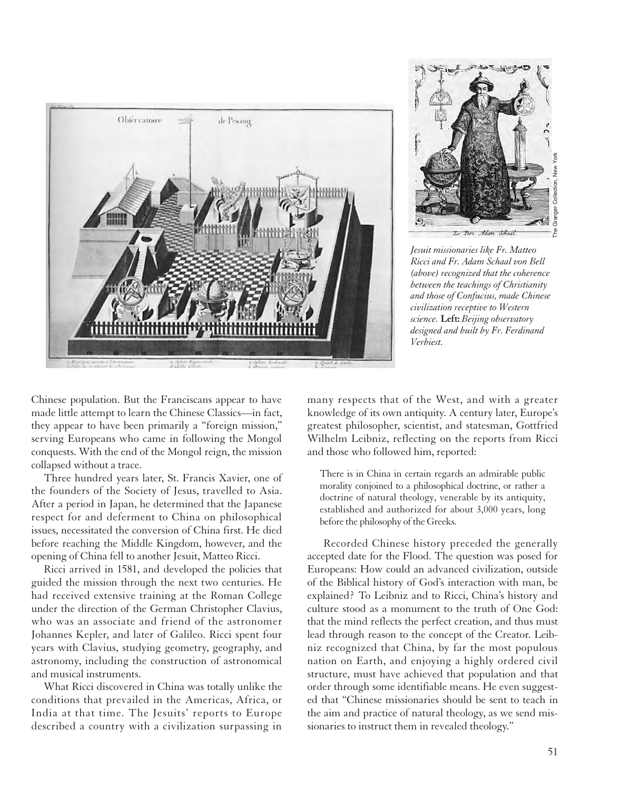



*Jesuit missionaries like Fr. Matteo Ricci and Fr. Adam Schaal von Bell (above) recognized that the coherence between the teachings of Christianity and those of Confucius, made Chinese civilization receptive to Western science.* **Left:** *Beijing observatory designed and built by Fr. Ferdinand Verbiest.*

Chinese population. But the Franciscans appear to have made little attempt to learn the Chinese Classics—in fact, they appear to have been primarily a "foreign mission," serving Europeans who came in following the Mongol conquests. With the end of the Mongol reign, the mission collapsed without a trace.

Three hundred years later, St. Francis Xavier, one of the founders of the Society of Jesus, travelled to Asia. After a period in Japan, he determined that the Japanese respect for and deferment to China on philosophical issues, necessitated the conversion of China first. He died before reaching the Middle Kingdom, however, and the opening of China fell to another Jesuit, Matteo Ricci.

Ricci arrived in 1581, and developed the policies that guided the mission through the next two centuries. He had received extensive training at the Roman College under the direction of the German Christopher Clavius, who was an associate and friend of the astronomer Johannes Kepler, and later of Galileo. Ricci spent four years with Clavius, studying geometry, geography, and astronomy, including the construction of astronomical and musical instruments.

What Ricci discovered in China was totally unlike the conditions that prevailed in the Americas, Africa, or India at that time. The Jesuits' reports to Europe described a country with a civilization surpassing in

many respects that of the West, and with a greater knowledge of its own antiquity. A century later, Europe's greatest philosopher, scientist, and statesman, Gottfried Wilhelm Leibniz, reflecting on the reports from Ricci and those who followed him, reported:

There is in China in certain regards an admirable public morality conjoined to a philosophical doctrine, or rather a doctrine of natural theology, venerable by its antiquity, established and authorized for about 3,000 years, long before the philosophy of the Greeks.

Recorded Chinese history preceded the generally accepted date for the Flood. The question was posed for Europeans: How could an advanced civilization, outside of the Biblical history of God's interaction with man, be explained? To Leibniz and to Ricci, China's history and culture stood as a monument to the truth of One God: that the mind reflects the perfect creation, and thus must lead through reason to the concept of the Creator. Leibniz recognized that China, by far the most populous nation on Earth, and enjoying a highly ordered civil structure, must have achieved that population and that order through some identifiable means. He even suggested that "Chinese missionaries should be sent to teach in the aim and practice of natural theology, as we send missionaries to instruct them in revealed theology."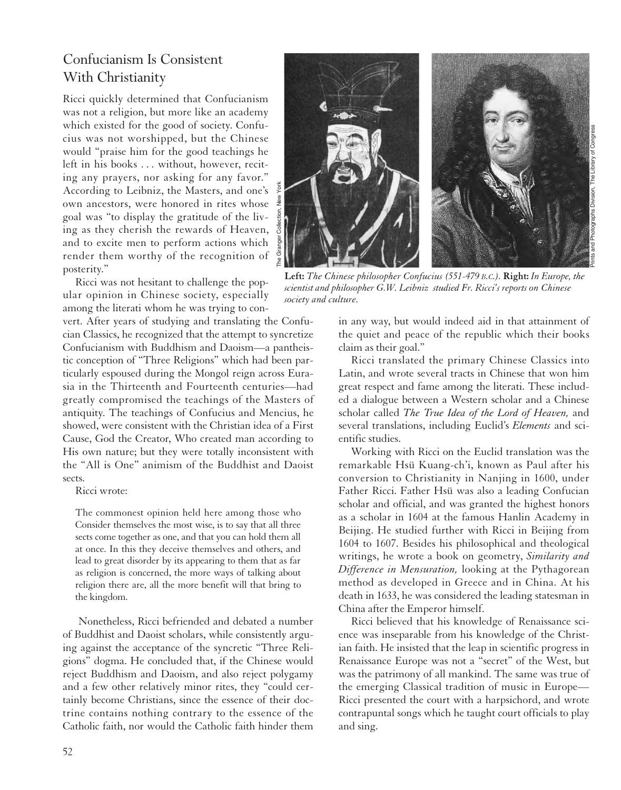#### Confucianism Is Consistent With Christianity

Ricci quickly determined that Confucianism was not a religion, but more like an academy which existed for the good of society. Confucius was not worshipped, but the Chinese would "praise him for the good teachings he left in his books . . . without, however, reciting any prayers, nor asking for any favor." According to Leibniz, the Masters, and one's own ancestors, were honored in rites whose goal was "to display the gratitude of the living as they cherish the rewards of Heaven, and to excite men to perform actions which render them worthy of the recognition of posterity."

Ricci was not hesitant to challenge the popular opinion in Chinese society, especially among the literati whom he was trying to con-

vert. After years of studying and translating the Confucian Classics, he recognized that the attempt to syncretize Confucianism with Buddhism and Daoism—a pantheistic conception of "Three Religions" which had been particularly espoused during the Mongol reign across Eurasia in the Thirteenth and Fourteenth centuries—had greatly compromised the teachings of the Masters of antiquity. The teachings of Confucius and Mencius, he showed, were consistent with the Christian idea of a First Cause, God the Creator, Who created man according to His own nature; but they were totally inconsistent with the "All is One" animism of the Buddhist and Daoist sects.

Ricci wrote:

The commonest opinion held here among those who Consider themselves the most wise, is to say that all three sects come together as one, and that you can hold them all at once. In this they deceive themselves and others, and lead to great disorder by its appearing to them that as far as religion is concerned, the more ways of talking about religion there are, all the more benefit will that bring to the kingdom.

Nonetheless, Ricci befriended and debated a number of Buddhist and Daoist scholars, while consistently arguing against the acceptance of the syncretic "Three Religions" dogma. He concluded that, if the Chinese would reject Buddhism and Daoism, and also reject polygamy and a few other relatively minor rites, they "could certainly become Christians, since the essence of their doctrine contains nothing contrary to the essence of the Catholic faith, nor would the Catholic faith hinder them



**Left:** *The Chinese philosopher Confucius (551-479 B.C.).* **Right:** *In Europe, the scientist and philosopher G.W. Leibniz studied Fr. Ricci's reports on Chinese society and culture.*

in any way, but would indeed aid in that attainment of the quiet and peace of the republic which their books claim as their goal."

Ricci translated the primary Chinese Classics into Latin, and wrote several tracts in Chinese that won him great respect and fame among the literati. These included a dialogue between a Western scholar and a Chinese scholar called *The True Idea of the Lord of Heaven,* and several translations, including Euclid's *Elements* and scientific studies.

Working with Ricci on the Euclid translation was the remarkable Hsü Kuang-ch'i, known as Paul after his conversion to Christianity in Nanjing in 1600, under Father Ricci. Father Hsü was also a leading Confucian scholar and official, and was granted the highest honors as a scholar in 1604 at the famous Hanlin Academy in Beijing. He studied further with Ricci in Beijing from 1604 to 1607. Besides his philosophical and theological writings, he wrote a book on geometry, *Similarity and Difference in Mensuration,* looking at the Pythagorean method as developed in Greece and in China. At his death in 1633, he was considered the leading statesman in China after the Emperor himself.

Ricci believed that his knowledge of Renaissance science was inseparable from his knowledge of the Christian faith. He insisted that the leap in scientific progress in Renaissance Europe was not a "secret" of the West, but was the patrimony of all mankind. The same was true of the emerging Classical tradition of music in Europe— Ricci presented the court with a harpsichord, and wrote contrapuntal songs which he taught court officials to play and sing.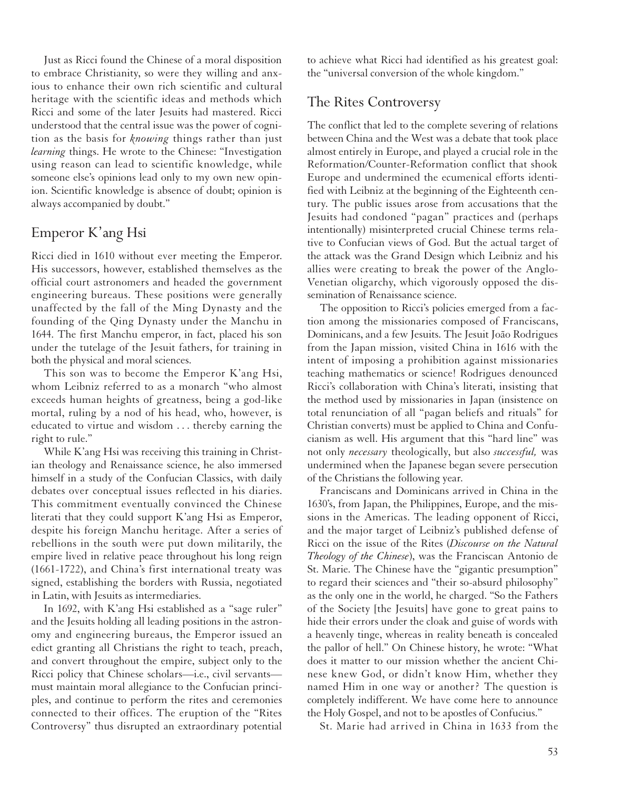Just as Ricci found the Chinese of a moral disposition to embrace Christianity, so were they willing and anxious to enhance their own rich scientific and cultural heritage with the scientific ideas and methods which Ricci and some of the later Jesuits had mastered. Ricci understood that the central issue was the power of cognition as the basis for *knowing* things rather than just *learning* things. He wrote to the Chinese: "Investigation using reason can lead to scientific knowledge, while someone else's opinions lead only to my own new opinion. Scientific knowledge is absence of doubt; opinion is always accompanied by doubt."

#### Emperor K'ang Hsi

Ricci died in 1610 without ever meeting the Emperor. His successors, however, established themselves as the official court astronomers and headed the government engineering bureaus. These positions were generally unaffected by the fall of the Ming Dynasty and the founding of the Qing Dynasty under the Manchu in 1644. The first Manchu emperor, in fact, placed his son under the tutelage of the Jesuit fathers, for training in both the physical and moral sciences.

This son was to become the Emperor K'ang Hsi, whom Leibniz referred to as a monarch "who almost exceeds human heights of greatness, being a god-like mortal, ruling by a nod of his head, who, however, is educated to virtue and wisdom . . . thereby earning the right to rule."

While K'ang Hsi was receiving this training in Christian theology and Renaissance science, he also immersed himself in a study of the Confucian Classics, with daily debates over conceptual issues reflected in his diaries. This commitment eventually convinced the Chinese literati that they could support K'ang Hsi as Emperor, despite his foreign Manchu heritage. After a series of rebellions in the south were put down militarily, the empire lived in relative peace throughout his long reign (1661-1722), and China's first international treaty was signed, establishing the borders with Russia, negotiated in Latin, with Jesuits as intermediaries.

In 1692, with K'ang Hsi established as a "sage ruler" and the Jesuits holding all leading positions in the astronomy and engineering bureaus, the Emperor issued an edict granting all Christians the right to teach, preach, and convert throughout the empire, subject only to the Ricci policy that Chinese scholars—i.e., civil servants must maintain moral allegiance to the Confucian principles, and continue to perform the rites and ceremonies connected to their offices. The eruption of the "Rites Controversy" thus disrupted an extraordinary potential to achieve what Ricci had identified as his greatest goal: the "universal conversion of the whole kingdom."

#### The Rites Controversy

The conflict that led to the complete severing of relations between China and the West was a debate that took place almost entirely in Europe, and played a crucial role in the Reformation/Counter-Reformation conflict that shook Europe and undermined the ecumenical efforts identified with Leibniz at the beginning of the Eighteenth century. The public issues arose from accusations that the Jesuits had condoned "pagan" practices and (perhaps intentionally) misinterpreted crucial Chinese terms relative to Confucian views of God. But the actual target of the attack was the Grand Design which Leibniz and his allies were creating to break the power of the Anglo-Venetian oligarchy, which vigorously opposed the dissemination of Renaissance science.

The opposition to Ricci's policies emerged from a faction among the missionaries composed of Franciscans, Dominicans, and a few Jesuits. The Jesuit João Rodrigues from the Japan mission, visited China in 1616 with the intent of imposing a prohibition against missionaries teaching mathematics or science! Rodrigues denounced Ricci's collaboration with China's literati, insisting that the method used by missionaries in Japan (insistence on total renunciation of all "pagan beliefs and rituals" for Christian converts) must be applied to China and Confucianism as well. His argument that this "hard line" was not only *necessary* theologically, but also *successful,* was undermined when the Japanese began severe persecution of the Christians the following year.

Franciscans and Dominicans arrived in China in the 1630's, from Japan, the Philippines, Europe, and the missions in the Americas. The leading opponent of Ricci, and the major target of Leibniz's published defense of Ricci on the issue of the Rites (*Discourse on the Natural Theology of the Chinese*), was the Franciscan Antonio de St. Marie. The Chinese have the "gigantic presumption" to regard their sciences and "their so-absurd philosophy" as the only one in the world, he charged. "So the Fathers of the Society [the Jesuits] have gone to great pains to hide their errors under the cloak and guise of words with a heavenly tinge, whereas in reality beneath is concealed the pallor of hell." On Chinese history, he wrote: "What does it matter to our mission whether the ancient Chinese knew God, or didn't know Him, whether they named Him in one way or another? The question is completely indifferent. We have come here to announce the Holy Gospel, and not to be apostles of Confucius."

St. Marie had arrived in China in 1633 from the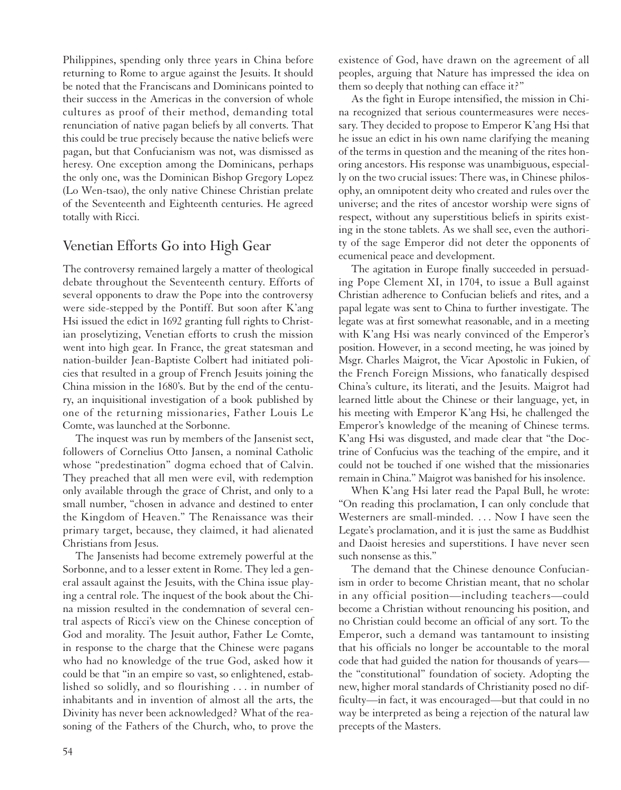Philippines, spending only three years in China before returning to Rome to argue against the Jesuits. It should be noted that the Franciscans and Dominicans pointed to their success in the Americas in the conversion of whole cultures as proof of their method, demanding total renunciation of native pagan beliefs by all converts. That this could be true precisely because the native beliefs were pagan, but that Confucianism was not, was dismissed as heresy. One exception among the Dominicans, perhaps the only one, was the Dominican Bishop Gregory Lopez (Lo Wen-tsao), the only native Chinese Christian prelate of the Seventeenth and Eighteenth centuries. He agreed totally with Ricci.

#### Venetian Efforts Go into High Gear

The controversy remained largely a matter of theological debate throughout the Seventeenth century. Efforts of several opponents to draw the Pope into the controversy were side-stepped by the Pontiff. But soon after K'ang Hsi issued the edict in 1692 granting full rights to Christian proselytizing, Venetian efforts to crush the mission went into high gear. In France, the great statesman and nation-builder Jean-Baptiste Colbert had initiated policies that resulted in a group of French Jesuits joining the China mission in the 1680's. But by the end of the century, an inquisitional investigation of a book published by one of the returning missionaries, Father Louis Le Comte, was launched at the Sorbonne.

The inquest was run by members of the Jansenist sect, followers of Cornelius Otto Jansen, a nominal Catholic whose "predestination" dogma echoed that of Calvin. They preached that all men were evil, with redemption only available through the grace of Christ, and only to a small number, "chosen in advance and destined to enter the Kingdom of Heaven." The Renaissance was their primary target, because, they claimed, it had alienated Christians from Jesus.

The Jansenists had become extremely powerful at the Sorbonne, and to a lesser extent in Rome. They led a general assault against the Jesuits, with the China issue playing a central role. The inquest of the book about the China mission resulted in the condemnation of several central aspects of Ricci's view on the Chinese conception of God and morality. The Jesuit author, Father Le Comte, in response to the charge that the Chinese were pagans who had no knowledge of the true God, asked how it could be that "in an empire so vast, so enlightened, established so solidly, and so flourishing . . . in number of inhabitants and in invention of almost all the arts, the Divinity has never been acknowledged? What of the reasoning of the Fathers of the Church, who, to prove the existence of God, have drawn on the agreement of all peoples, arguing that Nature has impressed the idea on them so deeply that nothing can efface it?"

As the fight in Europe intensified, the mission in China recognized that serious countermeasures were necessary. They decided to propose to Emperor K'ang Hsi that he issue an edict in his own name clarifying the meaning of the terms in question and the meaning of the rites honoring ancestors. His response was unambiguous, especially on the two crucial issues: There was, in Chinese philosophy, an omnipotent deity who created and rules over the universe; and the rites of ancestor worship were signs of respect, without any superstitious beliefs in spirits existing in the stone tablets. As we shall see, even the authority of the sage Emperor did not deter the opponents of ecumenical peace and development.

The agitation in Europe finally succeeded in persuading Pope Clement XI, in 1704, to issue a Bull against Christian adherence to Confucian beliefs and rites, and a papal legate was sent to China to further investigate. The legate was at first somewhat reasonable, and in a meeting with K'ang Hsi was nearly convinced of the Emperor's position. However, in a second meeting, he was joined by Msgr. Charles Maigrot, the Vicar Apostolic in Fukien, of the French Foreign Missions, who fanatically despised China's culture, its literati, and the Jesuits. Maigrot had learned little about the Chinese or their language, yet, in his meeting with Emperor K'ang Hsi, he challenged the Emperor's knowledge of the meaning of Chinese terms. K'ang Hsi was disgusted, and made clear that "the Doctrine of Confucius was the teaching of the empire, and it could not be touched if one wished that the missionaries remain in China." Maigrot was banished for his insolence.

When K'ang Hsi later read the Papal Bull, he wrote: "On reading this proclamation, I can only conclude that Westerners are small-minded. . . . Now I have seen the Legate's proclamation, and it is just the same as Buddhist and Daoist heresies and superstitions. I have never seen such nonsense as this."

The demand that the Chinese denounce Confucianism in order to become Christian meant, that no scholar in any official position—including teachers—could become a Christian without renouncing his position, and no Christian could become an official of any sort. To the Emperor, such a demand was tantamount to insisting that his officials no longer be accountable to the moral code that had guided the nation for thousands of years the "constitutional" foundation of society. Adopting the new, higher moral standards of Christianity posed no difficulty—in fact, it was encouraged—but that could in no way be interpreted as being a rejection of the natural law precepts of the Masters.